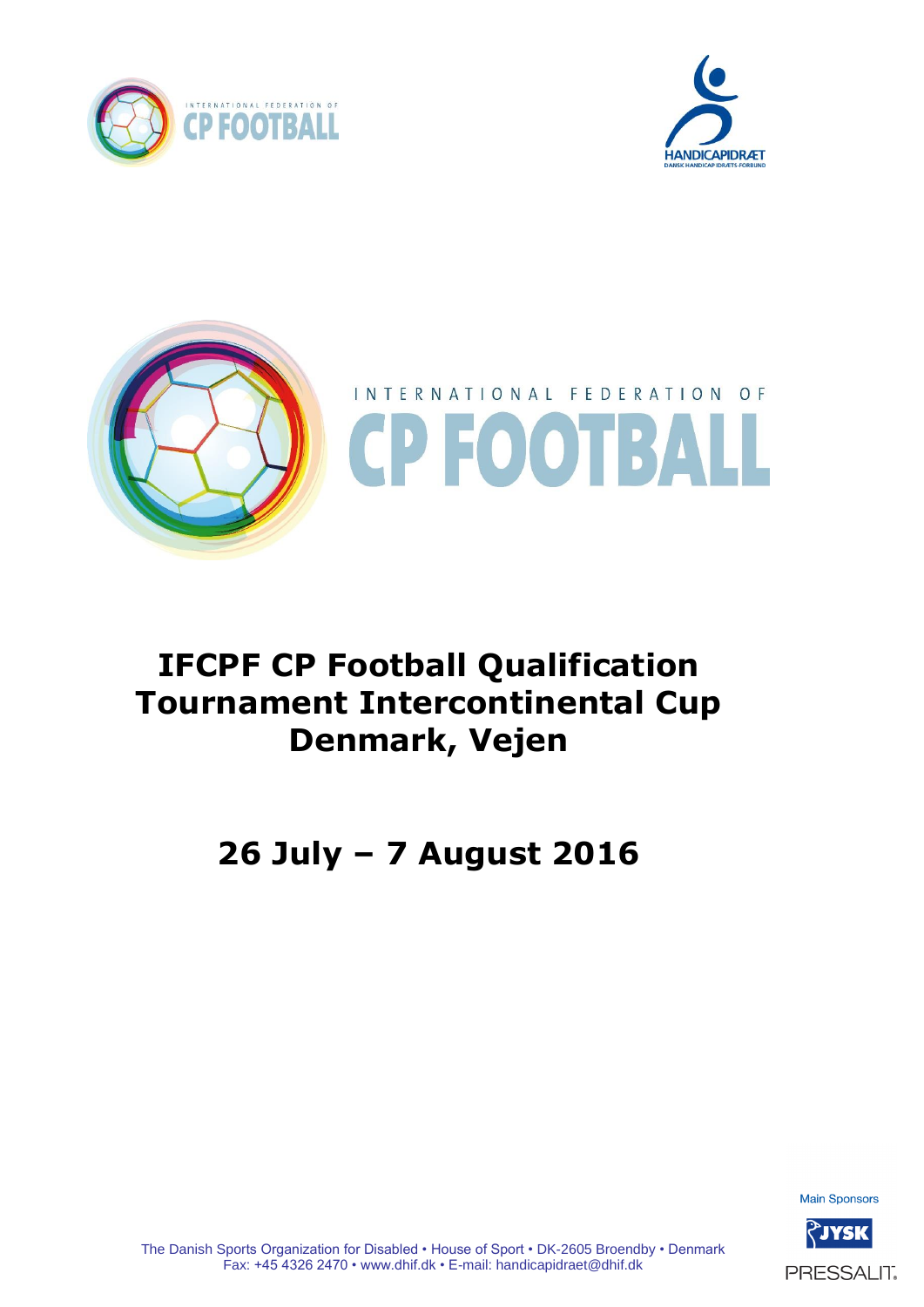





# **IFCPF CP Football Qualification Tournament Intercontinental Cup Denmark, Vejen**

# **26 July – 7 August 2016**

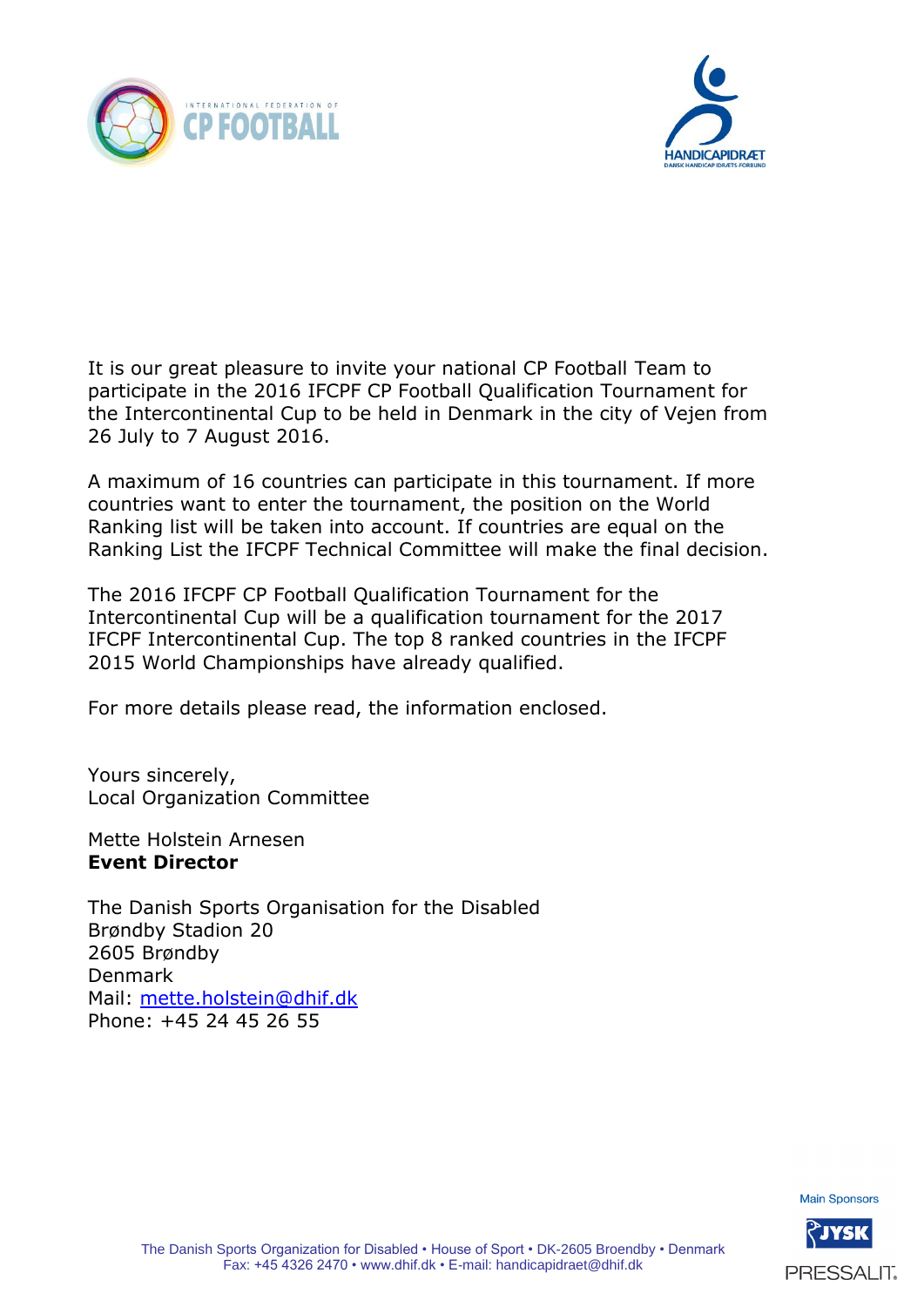



It is our great pleasure to invite your national CP Football Team to participate in the 2016 IFCPF CP Football Qualification Tournament for the Intercontinental Cup to be held in Denmark in the city of Vejen from 26 July to 7 August 2016.

A maximum of 16 countries can participate in this tournament. If more countries want to enter the tournament, the position on the World Ranking list will be taken into account. If countries are equal on the Ranking List the IFCPF Technical Committee will make the final decision.

The 2016 IFCPF CP Football Qualification Tournament for the Intercontinental Cup will be a qualification tournament for the 2017 IFCPF Intercontinental Cup. The top 8 ranked countries in the IFCPF 2015 World Championships have already qualified.

For more details please read, the information enclosed.

Yours sincerely, Local Organization Committee

Mette Holstein Arnesen **Event Director**

The Danish Sports Organisation for the Disabled Brøndby Stadion 20 2605 Brøndby Denmark Mail: [mette.holstein@dhif.dk](mailto:mette.holstein@dhif.dk) Phone: +45 24 45 26 55

**Main Sponsors** 

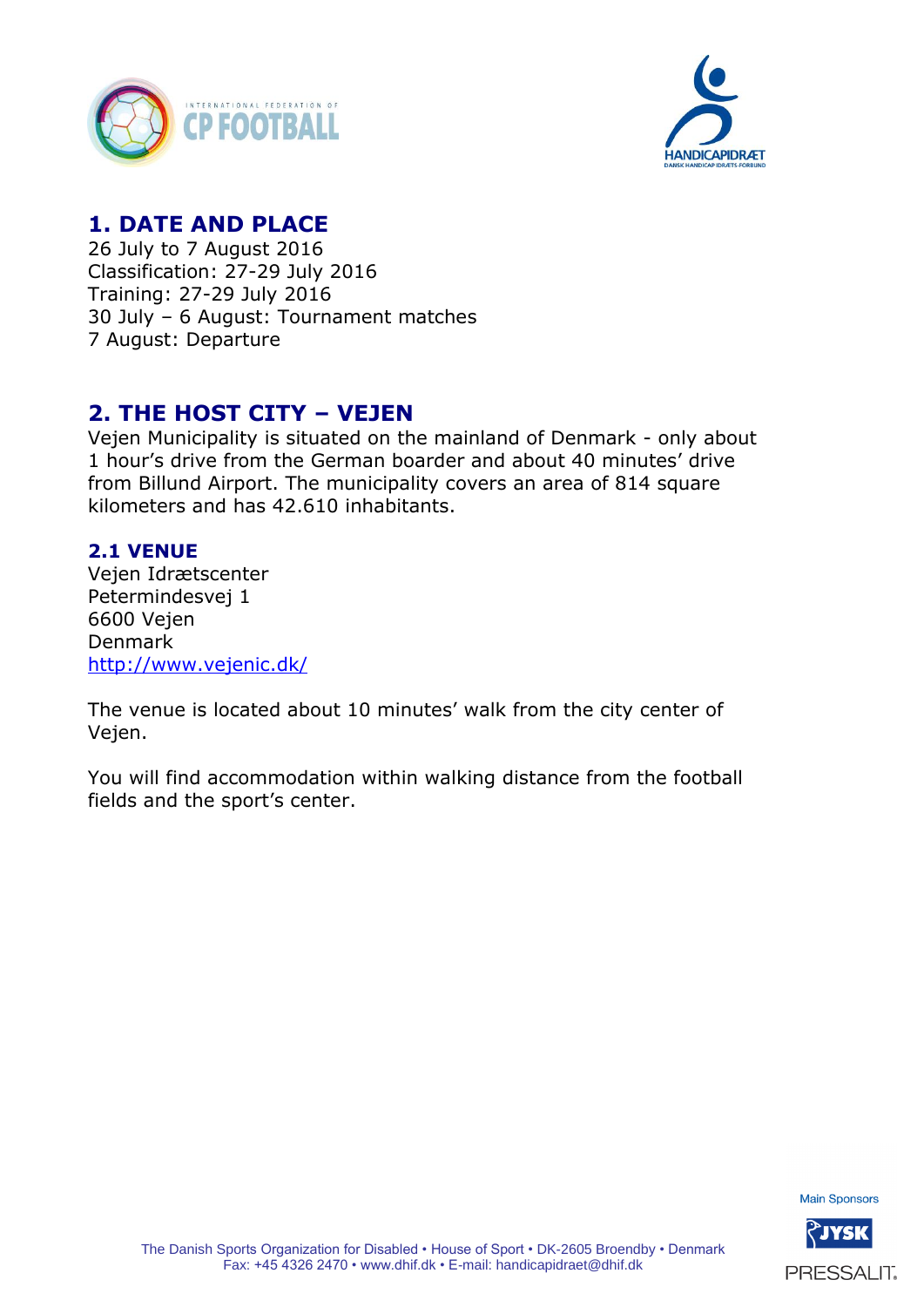



# **1. DATE AND PLACE**

26 July to 7 August 2016 Classification: 27-29 July 2016 Training: 27-29 July 2016 30 July – 6 August: Tournament matches 7 August: Departure

## **2. THE HOST CITY – VEJEN**

Vejen Municipality is situated on the mainland of Denmark - only about 1 hour's drive from the German boarder and about 40 minutes' drive from Billund Airport. The municipality covers an area of 814 square kilometers and has 42.610 inhabitants.

#### **2.1 VENUE**

Vejen Idrætscenter Petermindesvej 1 6600 Vejen Denmark <http://www.vejenic.dk/>

The venue is located about 10 minutes' walk from the city center of Vejen.

You will find accommodation within walking distance from the football fields and the sport's center.

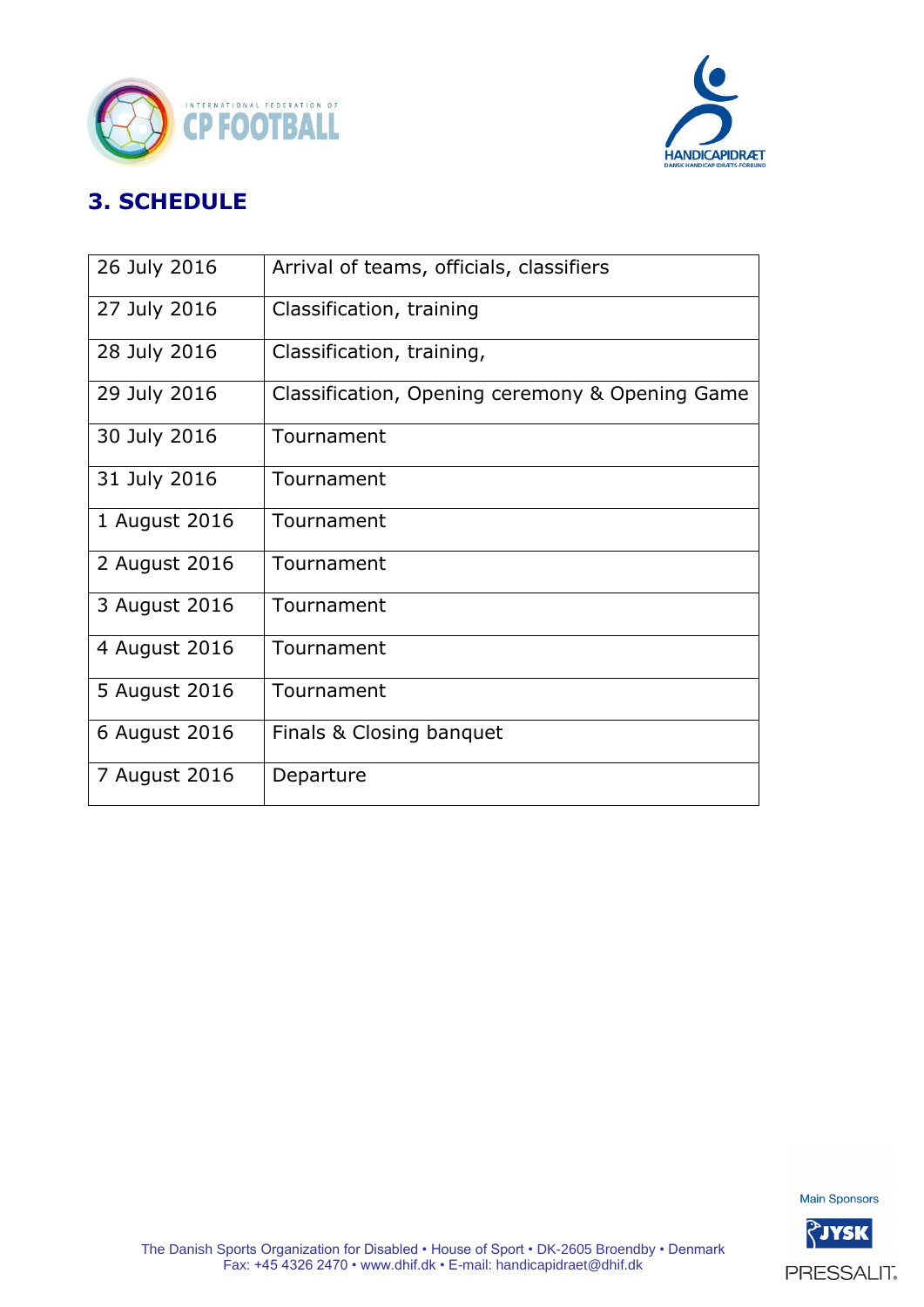



# **3. SCHEDULE**

| 26 July 2016  | Arrival of teams, officials, classifiers        |
|---------------|-------------------------------------------------|
| 27 July 2016  | Classification, training                        |
| 28 July 2016  | Classification, training,                       |
| 29 July 2016  | Classification, Opening ceremony & Opening Game |
| 30 July 2016  | Tournament                                      |
| 31 July 2016  | Tournament                                      |
| 1 August 2016 | Tournament                                      |
| 2 August 2016 | Tournament                                      |
| 3 August 2016 | Tournament                                      |
| 4 August 2016 | Tournament                                      |
| 5 August 2016 | Tournament                                      |
| 6 August 2016 | Finals & Closing banquet                        |
| 7 August 2016 | Departure                                       |



PRESSALIT.

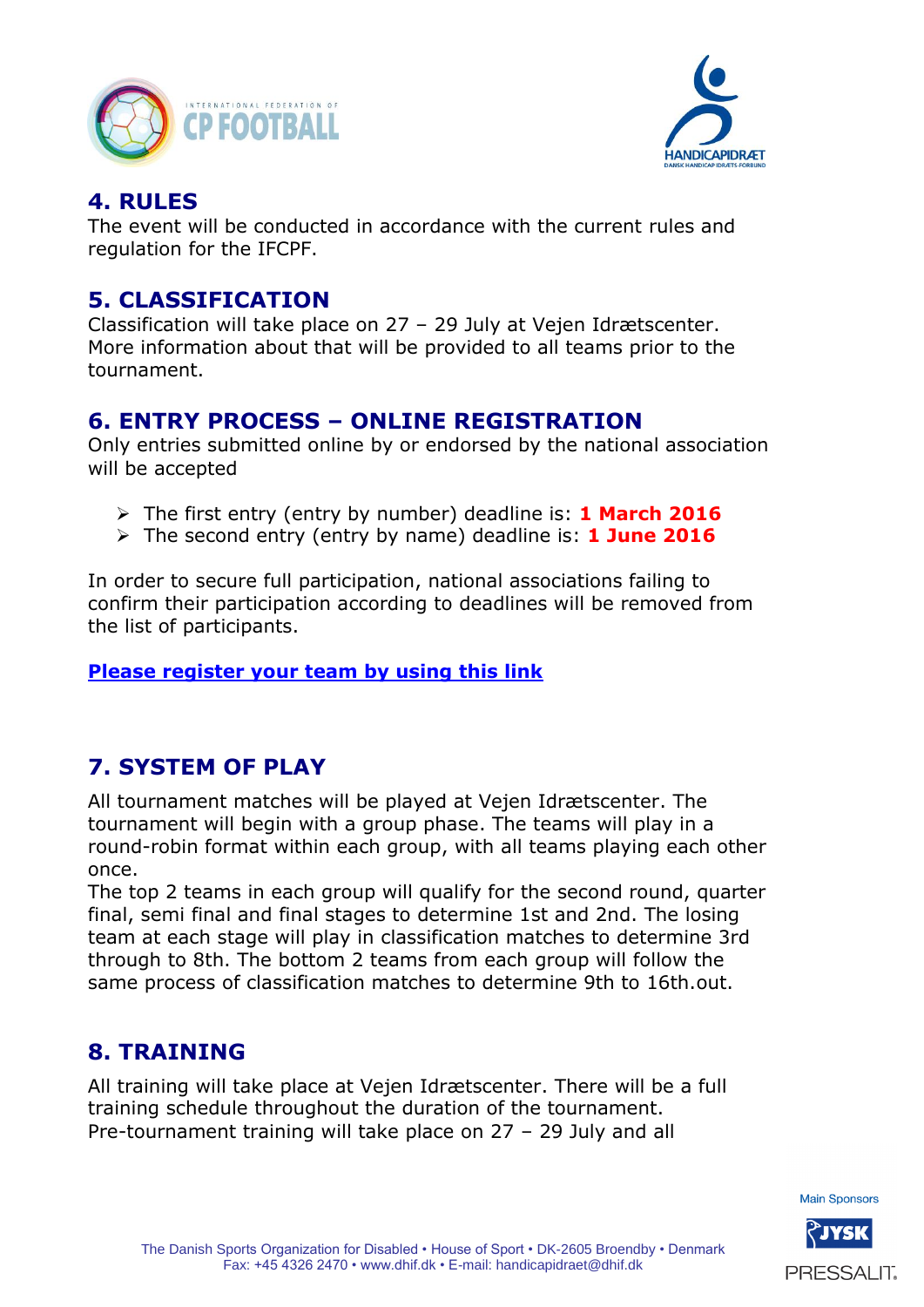



### **4. RULES**

The event will be conducted in accordance with the current rules and regulation for the IFCPF.

#### **5. CLASSIFICATION**

Classification will take place on 27 – 29 July at Vejen Idrætscenter. More information about that will be provided to all teams prior to the tournament.

## **6. ENTRY PROCESS – ONLINE REGISTRATION**

Only entries submitted online by or endorsed by the national association will be accepted

- The first entry (entry by number) deadline is: **1 March 2016**
- The second entry (entry by name) deadline is: **1 June 2016**

In order to secure full participation, national associations failing to confirm their participation according to deadlines will be removed from the list of participants.

#### **[Please register your team by using this link](http://dhif.rackforms.com/rackforms/output/forms/cpfodbold_1entry/page0.php)**

# **7. SYSTEM OF PLAY**

All tournament matches will be played at Vejen Idrætscenter. The tournament will begin with a group phase. The teams will play in a round-robin format within each group, with all teams playing each other once.

The top 2 teams in each group will qualify for the second round, quarter final, semi final and final stages to determine 1st and 2nd. The losing team at each stage will play in classification matches to determine 3rd through to 8th. The bottom 2 teams from each group will follow the same process of classification matches to determine 9th to 16th.out.

## **8. TRAINING**

All training will take place at Vejen Idrætscenter. There will be a full training schedule throughout the duration of the tournament. Pre-tournament training will take place on 27 – 29 July and all



PRESSALIT.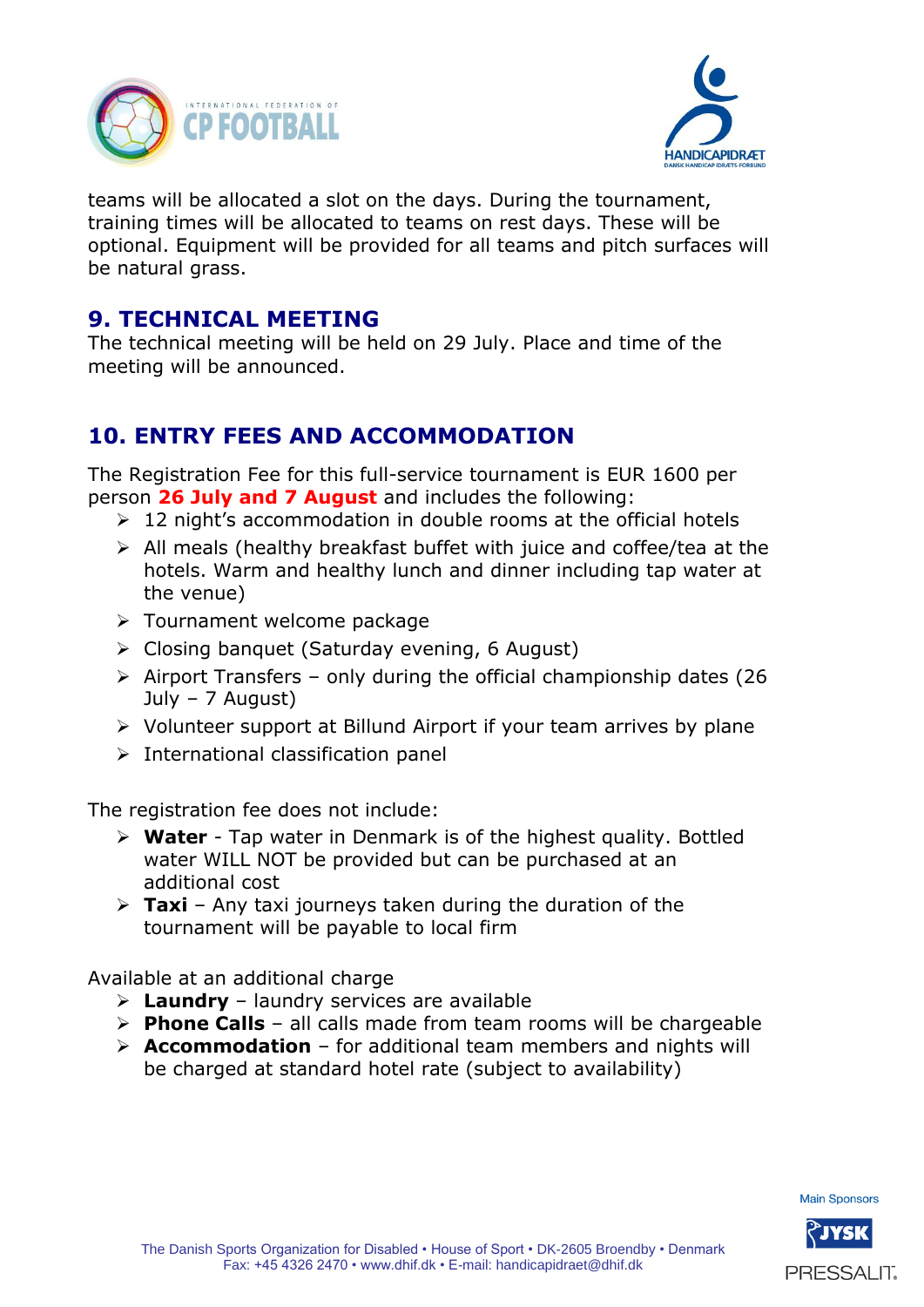



teams will be allocated a slot on the days. During the tournament, training times will be allocated to teams on rest days. These will be optional. Equipment will be provided for all teams and pitch surfaces will be natural grass.

## **9. TECHNICAL MEETING**

The technical meeting will be held on 29 July. Place and time of the meeting will be announced.

# **10. ENTRY FEES AND ACCOMMODATION**

The Registration Fee for this full-service tournament is EUR 1600 per person **26 July and 7 August** and includes the following:

- $\geq 12$  night's accommodation in double rooms at the official hotels
- $\triangleright$  All meals (healthy breakfast buffet with juice and coffee/tea at the hotels. Warm and healthy lunch and dinner including tap water at the venue)
- > Tournament welcome package
- Closing banquet (Saturday evening, 6 August)
- $\geq$  Airport Transfers only during the official championship dates (26 July – 7 August)
- Volunteer support at Billund Airport if your team arrives by plane
- $\triangleright$  International classification panel

The registration fee does not include:

- **Water** Tap water in Denmark is of the highest quality. Bottled water WILL NOT be provided but can be purchased at an additional cost
- **Taxi**  Any taxi journeys taken during the duration of the tournament will be payable to local firm

Available at an additional charge

- **Laundry**  laundry services are available
- **Phone Calls**  all calls made from team rooms will be chargeable
- **Accommodation**  for additional team members and nights will be charged at standard hotel rate (subject to availability)

**Main Sponsors** 

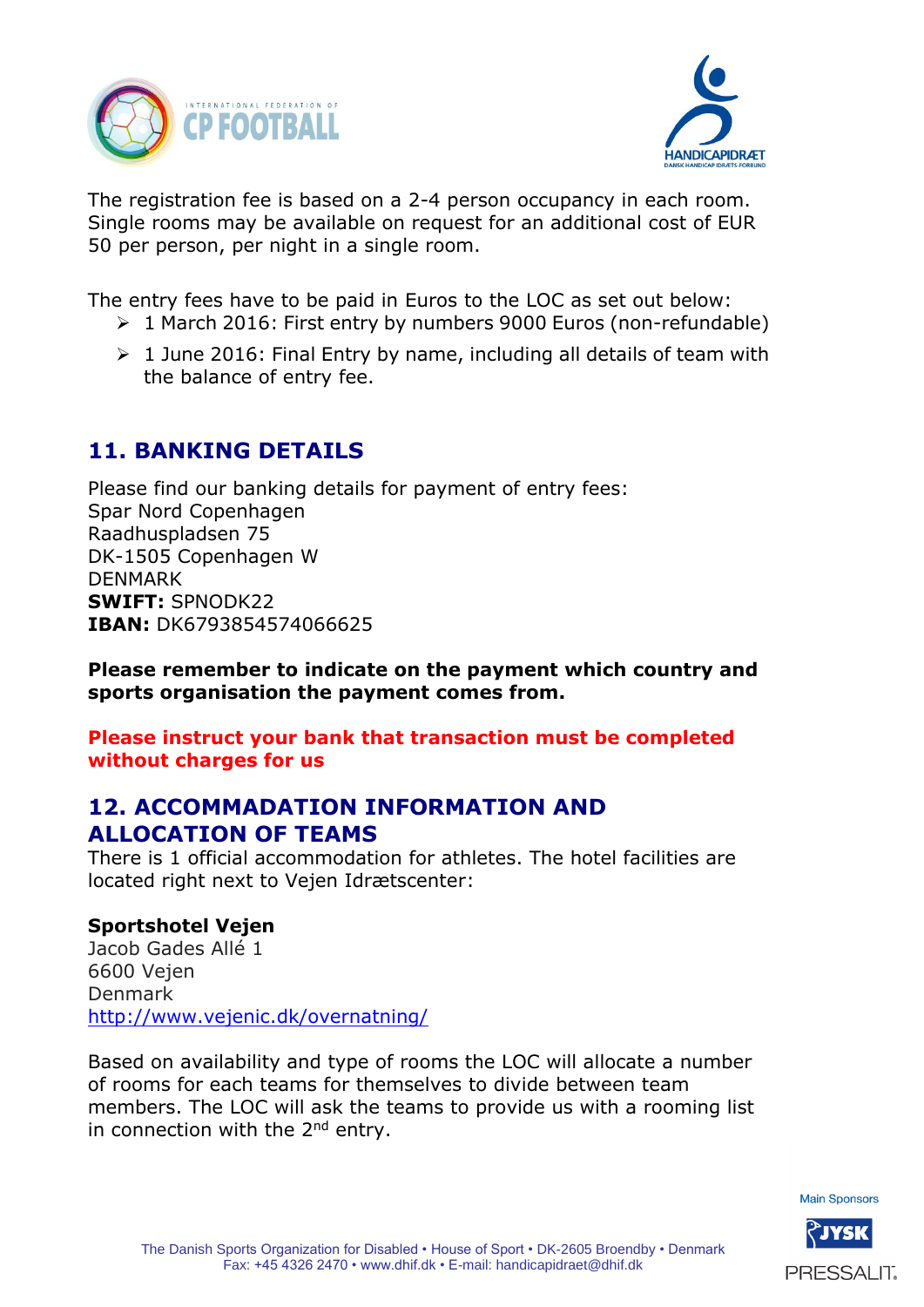



The registration fee is based on a 2-4 person occupancy in each room. Single rooms may be available on request for an additional cost of EUR 50 per person, per night in a single room.

The entry fees have to be paid in Euros to the LOC as set out below:

- ▶ 1 March 2016: First entry by numbers 9000 Euros (non-refundable)
- $\geq 1$  June 2016: Final Entry by name, including all details of team with the balance of entry fee.

## **11. BANKING DETAILS**

Please find our banking details for payment of entry fees: Spar Nord Copenhagen Raadhuspladsen 75 DK-1505 Copenhagen W DENMARK **SWIFT:** SPNODK22 **IBAN:** DK6793854574066625

**Please remember to indicate on the payment which country and sports organisation the payment comes from.** 

**Please instruct your bank that transaction must be completed without charges for us**

#### **12. ACCOMMADATION INFORMATION AND ALLOCATION OF TEAMS**

There is 1 official accommodation for athletes. The hotel facilities are located right next to Vejen Idrætscenter:

#### **Sportshotel Vejen**

Jacob Gades Allé 1 6600 Vejen Denmark <http://www.vejenic.dk/overnatning/>

Based on availability and type of rooms the LOC will allocate a number of rooms for each teams for themselves to divide between team members. The LOC will ask the teams to provide us with a rooming list in connection with the  $2^{nd}$  entry.

**Main Sponsors** 

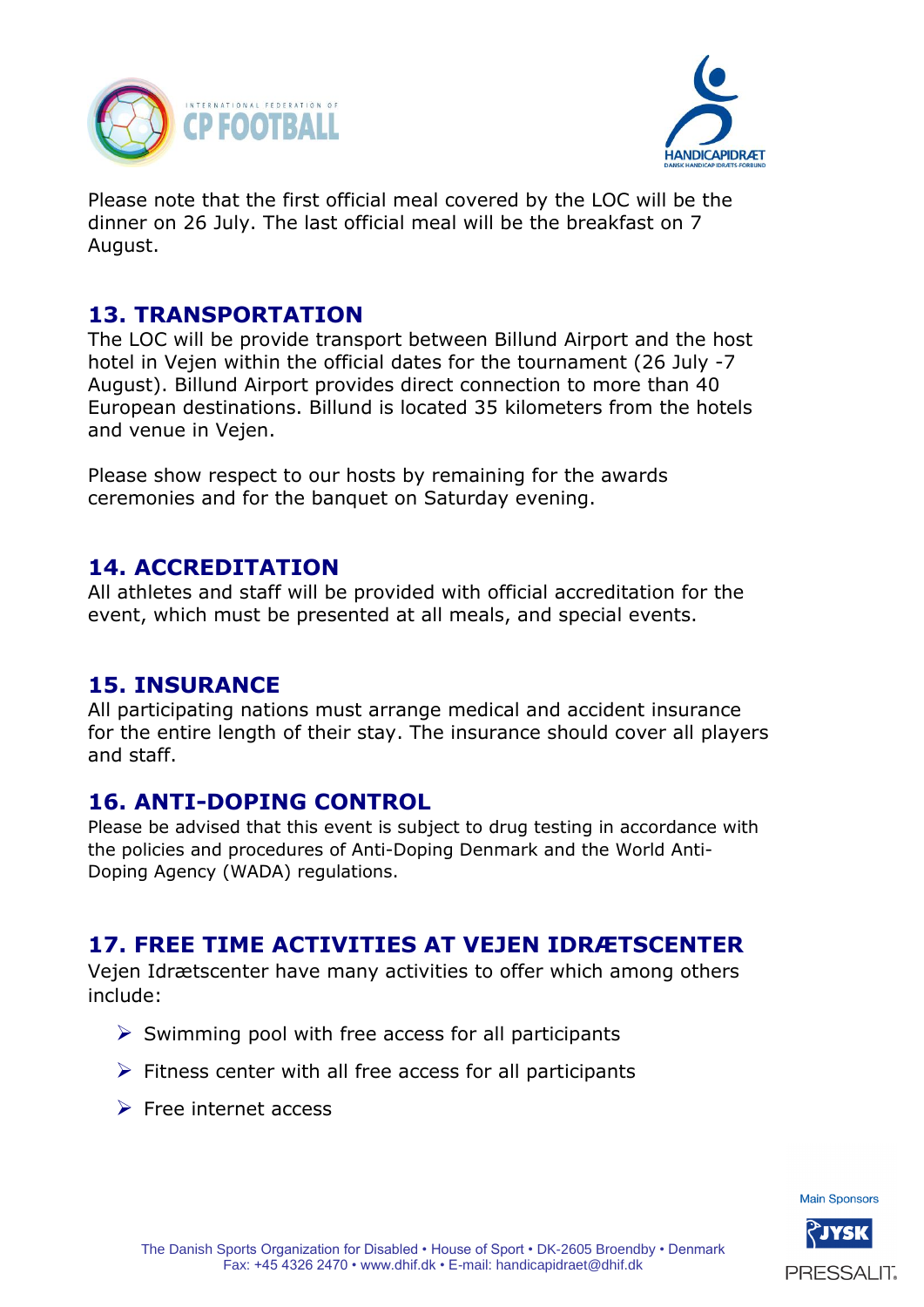



Please note that the first official meal covered by the LOC will be the dinner on 26 July. The last official meal will be the breakfast on 7 August.

### **13. TRANSPORTATION**

The LOC will be provide transport between Billund Airport and the host hotel in Vejen within the official dates for the tournament (26 July -7 August). Billund Airport provides direct connection to more than 40 European destinations. Billund is located 35 kilometers from the hotels and venue in Vejen.

Please show respect to our hosts by remaining for the awards ceremonies and for the banquet on Saturday evening.

#### **14. ACCREDITATION**

All athletes and staff will be provided with official accreditation for the event, which must be presented at all meals, and special events.

#### **15. INSURANCE**

All participating nations must arrange medical and accident insurance for the entire length of their stay. The insurance should cover all players and staff.

## **16. ANTI-DOPING CONTROL**

Please be advised that this event is subject to drug testing in accordance with the policies and procedures of Anti-Doping Denmark and the World Anti-Doping Agency (WADA) regulations.

# **17. FREE TIME ACTIVITIES AT VEJEN IDRÆTSCENTER**

Vejen Idrætscenter have many activities to offer which among others include:

- $\triangleright$  Swimming pool with free access for all participants
- $\triangleright$  Fitness center with all free access for all participants
- $\triangleright$  Free internet access